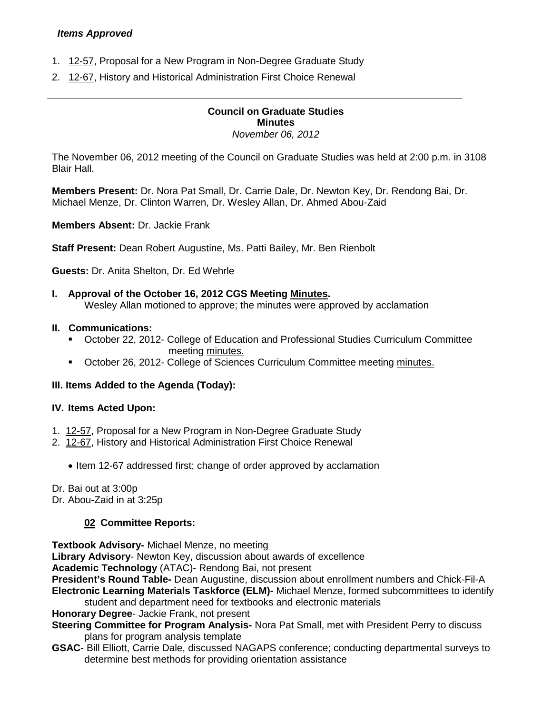# *Items Approved*

- 1. [12-57,](http://castle.eiu.edu/~eiucgs/currentagendaitems/agenda12-57.pdf) Proposal for a New Program in Non-Degree Graduate Study
- 2. [12-67,](http://castle.eiu.edu/~eiucgs/currentagendaitems/agenda12-67.pdf) History and Historical Administration First Choice Renewal

### **Council on Graduate Studies Minutes** *November 06, 2012*

The November 06, 2012 meeting of the Council on Graduate Studies was held at 2:00 p.m. in 3108 Blair Hall.

**Members Present:** Dr. Nora Pat Small, Dr. Carrie Dale, Dr. Newton Key, Dr. Rendong Bai, Dr. Michael Menze, Dr. Clinton Warren, Dr. Wesley Allan, Dr. Ahmed Abou-Zaid

**Members Absent:** Dr. Jackie Frank

**Staff Present:** Dean Robert Augustine, Ms. Patti Bailey, Mr. Ben Rienbolt

**Guests:** Dr. Anita Shelton, Dr. Ed Wehrle

## **I. Approval of the October 16, 2012 CGS Meeting [Minutes.](http://castle.eiu.edu/eiucgs/currentminutes/Minutes10-16-12.pdf)**

Wesley Allan motioned to approve; the minutes were approved by acclamation

### **II. Communications:**

- October 22, 2012- College of Education and Professional Studies Curriculum Committee meeting [minutes.](http://castle.eiu.edu/~eiucgs/currentagendaitems/CEPSMin10-22-12.pdf)
- October 26, 2012- College of Sciences Curriculum Committee meeting [minutes.](http://castle.eiu.edu/~eiucgs/currentagendaitems/COSMin10-26-12.pdf)

## **III. Items Added to the Agenda (Today):**

### **IV. Items Acted Upon:**

- 1. [12-57,](http://castle.eiu.edu/~eiucgs/currentagendaitems/agenda12-57.pdf) Proposal for a New Program in Non-Degree Graduate Study
- 2. [12-67,](http://castle.eiu.edu/~eiucgs/currentagendaitems/agenda12-67.pdf) History and Historical Administration First Choice Renewal
	- Item 12-67 addressed first; change of order approved by acclamation

Dr. Bai out at 3:00p

Dr. Abou-Zaid in at 3:25p

## **02 Committee Reports:**

**Textbook Advisory-** Michael Menze, no meeting

**Library Advisory**- Newton Key, discussion about awards of excellence

**Academic Technology** (ATAC)- Rendong Bai, not present

**President's Round Table-** Dean Augustine, discussion about enrollment numbers and Chick-Fil-A **Electronic Learning Materials Taskforce (ELM)-** Michael Menze, formed subcommittees to identify student and department need for textbooks and electronic materials

**Honorary Degree**- Jackie Frank, not present

**Steering Committee for Program Analysis-** Nora Pat Small, met with President Perry to discuss plans for program analysis template

**GSAC**- Bill Elliott, Carrie Dale, discussed NAGAPS conference; conducting departmental surveys to determine best methods for providing orientation assistance